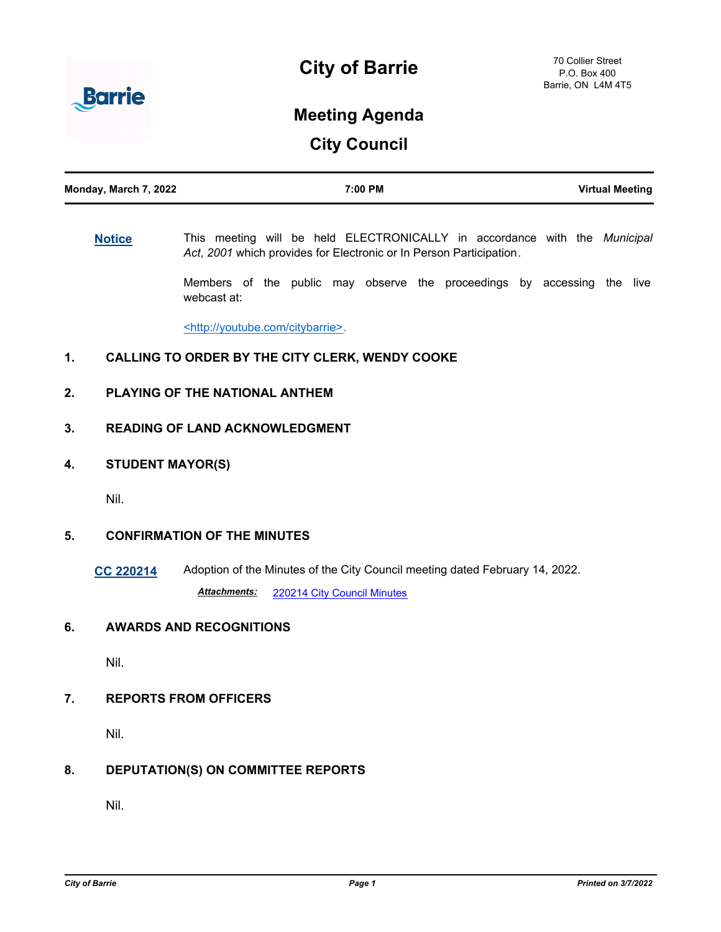



# **Meeting Agenda**

**City Council**

# **[Notice](http://barrie.ca.legistar.com/gateway.aspx?m=l&id=/matter.aspx?key=46586)** This meeting will be held ELECTRONICALLY in accordance with the *Municipal Act*, *2001* which provides for Electronic or In Person Participation*.*

Members of the public may observe the proceedings by accessing the live webcast at:

<http://youtube.com/citybarrie>.

## **1. CALLING TO ORDER BY THE CITY CLERK, WENDY COOKE**

## **2. PLAYING OF THE NATIONAL ANTHEM**

## **3. READING OF LAND ACKNOWLEDGMENT**

**4. STUDENT MAYOR(S)**

Nil.

## **5. CONFIRMATION OF THE MINUTES**

**[CC 220214](http://barrie.ca.legistar.com/gateway.aspx?m=l&id=/matter.aspx?key=50236)** Adoption of the Minutes of the City Council meeting dated February 14, 2022. *Attachments:* [220214 City Council Minutes](http://barrie.ca.legistar.com/gateway.aspx?M=F&ID=9ce05fb1-1cc3-4fdb-a537-84103e12341a.pdf)

## **6. AWARDS AND RECOGNITIONS**

Nil.

**7. REPORTS FROM OFFICERS**

Nil.

## **8. DEPUTATION(S) ON COMMITTEE REPORTS**

Nil.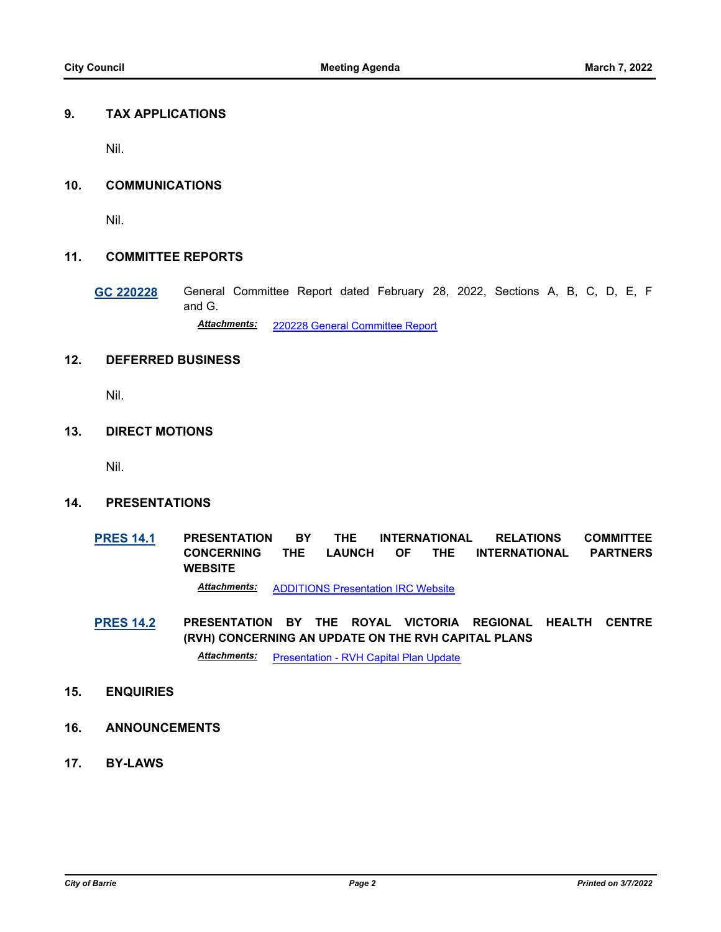#### **9. TAX APPLICATIONS**

Nil.

#### **10. COMMUNICATIONS**

Nil.

#### **11. COMMITTEE REPORTS**

**[GC 220228](http://barrie.ca.legistar.com/gateway.aspx?m=l&id=/matter.aspx?key=50237)** General Committee Report dated February 28, 2022, Sections A, B, C, D, E, F and G.

*Attachments:* [220228 General Committee Report](http://barrie.ca.legistar.com/gateway.aspx?M=F&ID=5192d666-2911-4a28-9436-df92d2c7a4c2.pdf)

# **12. DEFERRED BUSINESS**

Nil.

#### **13. DIRECT MOTIONS**

Nil.

#### **14. PRESENTATIONS**

**[PRES 14.1](http://barrie.ca.legistar.com/gateway.aspx?m=l&id=/matter.aspx?key=50266) PRESENTATION BY THE INTERNATIONAL RELATIONS COMMITTEE CONCERNING THE LAUNCH OF THE INTERNATIONAL PARTNERS WEBSITE**

*Attachments:* [ADDITIONS Presentation IRC Website](http://barrie.ca.legistar.com/gateway.aspx?M=F&ID=6bf8ab51-61fb-4add-a78f-31dc8dd1a6fd.pdf)

**[PRES 14.2](http://barrie.ca.legistar.com/gateway.aspx?m=l&id=/matter.aspx?key=50268) PRESENTATION BY THE ROYAL VICTORIA REGIONAL HEALTH CENTRE (RVH) CONCERNING AN UPDATE ON THE RVH CAPITAL PLANS**

*Attachments:* [Presentation - RVH Capital Plan Update](http://barrie.ca.legistar.com/gateway.aspx?M=F&ID=42a55975-5425-49f9-8b0e-590a3d2241b8.pdf)

#### **15. ENQUIRIES**

- **16. ANNOUNCEMENTS**
- **17. BY-LAWS**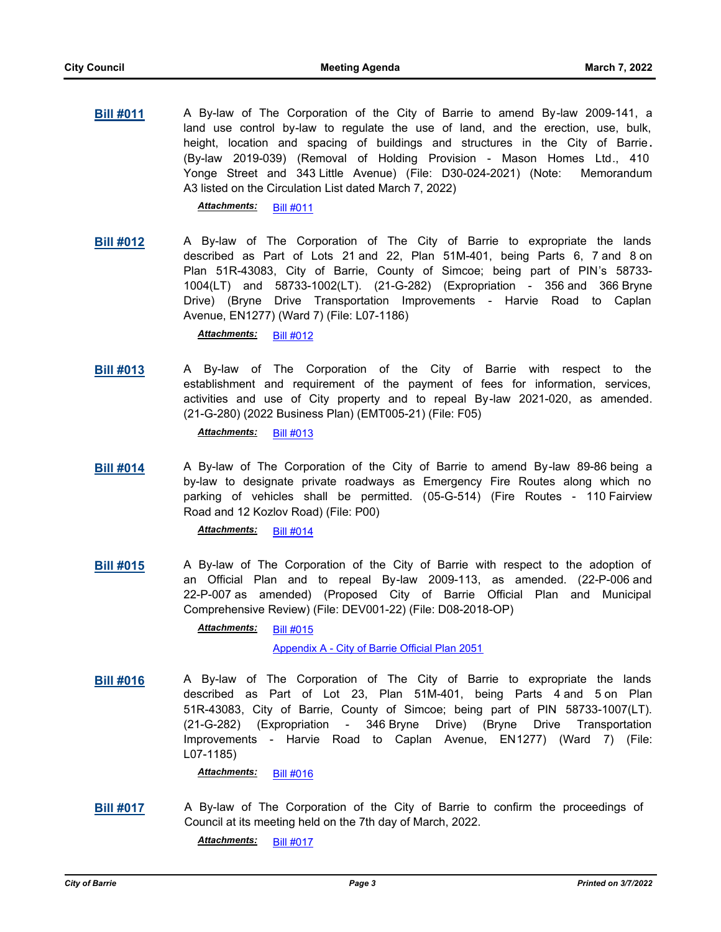**[Bill #011](http://barrie.ca.legistar.com/gateway.aspx?m=l&id=/matter.aspx?key=50184)** A By-law of The Corporation of the City of Barrie to amend By-law 2009-141, a land use control by-law to regulate the use of land, and the erection, use, bulk, height, location and spacing of buildings and structures in the City of Barrie**.**  (By-law 2019-039) (Removal of Holding Provision - Mason Homes Ltd., 410 Yonge Street and 343 Little Avenue) (File: D30-024-2021) (Note: Memorandum A3 listed on the Circulation List dated March 7, 2022)

*Attachments:* [Bill #011](http://barrie.ca.legistar.com/gateway.aspx?M=F&ID=848192d9-e1e0-4920-8b1d-dd930128f037.pdf)

**[Bill #012](http://barrie.ca.legistar.com/gateway.aspx?m=l&id=/matter.aspx?key=50200)** A By-law of The Corporation of The City of Barrie to expropriate the lands described as Part of Lots 21 and 22, Plan 51M-401, being Parts 6, 7 and 8 on Plan 51R-43083, City of Barrie, County of Simcoe; being part of PIN's 58733- 1004(LT) and 58733-1002(LT). (21-G-282) (Expropriation - 356 and 366 Bryne Drive) (Bryne Drive Transportation Improvements - Harvie Road to Caplan Avenue, EN1277) (Ward 7) (File: L07-1186)

*Attachments:* [Bill #012](http://barrie.ca.legistar.com/gateway.aspx?M=F&ID=571cdfa1-770a-4a8f-a103-b6cc961b7460.pdf)

**[Bill #013](http://barrie.ca.legistar.com/gateway.aspx?m=l&id=/matter.aspx?key=50243)** A By-law of The Corporation of the City of Barrie with respect to the establishment and requirement of the payment of fees for information, services, activities and use of City property and to repeal By-law 2021-020, as amended. (21-G-280) (2022 Business Plan) (EMT005-21) (File: F05)

Attachments: [Bill #013](http://barrie.ca.legistar.com/gateway.aspx?M=F&ID=ddb341c3-eebc-4583-bf6d-bf7f9cc7208f.pdf)

**[Bill #014](http://barrie.ca.legistar.com/gateway.aspx?m=l&id=/matter.aspx?key=50257)** A By-law of The Corporation of the City of Barrie to amend By-law 89-86 being a by-law to designate private roadways as Emergency Fire Routes along which no parking of vehicles shall be permitted. (05-G-514) (Fire Routes - 110 Fairview Road and 12 Kozlov Road) (File: P00)

*Attachments:* [Bill #014](http://barrie.ca.legistar.com/gateway.aspx?M=F&ID=05eebd78-081b-4f43-a701-7d0b7f7bedd3.pdf)

**[Bill #015](http://barrie.ca.legistar.com/gateway.aspx?m=l&id=/matter.aspx?key=50259)** A By-law of The Corporation of the City of Barrie with respect to the adoption of an Official Plan and to repeal By-law 2009-113, as amended. (22-P-006 and 22-P-007 as amended) (Proposed City of Barrie Official Plan and Municipal Comprehensive Review) (File: DEV001-22) (File: D08-2018-OP)

> [Bill #015](http://barrie.ca.legistar.com/gateway.aspx?M=F&ID=e6ec23eb-9f29-4f3a-ad7d-899522fcf1e0.pdf) *Attachments:*

> > [Appendix A - City of Barrie Official Plan 2051](http://barrie.ca.legistar.com/gateway.aspx?M=F&ID=06f6cfa2-ec8a-4541-b156-9ad8fe88fc87.pdf)

**[Bill #016](http://barrie.ca.legistar.com/gateway.aspx?m=l&id=/matter.aspx?key=50199)** A By-law of The Corporation of The City of Barrie to expropriate the lands described as Part of Lot 23, Plan 51M-401, being Parts 4 and 5 on Plan 51R-43083, City of Barrie, County of Simcoe; being part of PIN 58733-1007(LT). (21-G-282) (Expropriation - 346 Bryne Drive) (Bryne Drive Transportation Improvements - Harvie Road to Caplan Avenue, EN1277) (Ward 7) (File: L07-1185)

*Attachments:* [Bill #016](http://barrie.ca.legistar.com/gateway.aspx?M=F&ID=0904d7d2-0ceb-4872-8a27-5ed4d3194e58.pdf)

**[Bill #017](http://barrie.ca.legistar.com/gateway.aspx?m=l&id=/matter.aspx?key=50275)** A By-law of The Corporation of the City of Barrie to confirm the proceedings of Council at its meeting held on the 7th day of March, 2022.

*Attachments:* [Bill #017](http://barrie.ca.legistar.com/gateway.aspx?M=F&ID=1ed33e03-bd7d-4935-93cf-55fb7d203ca4.pdf)